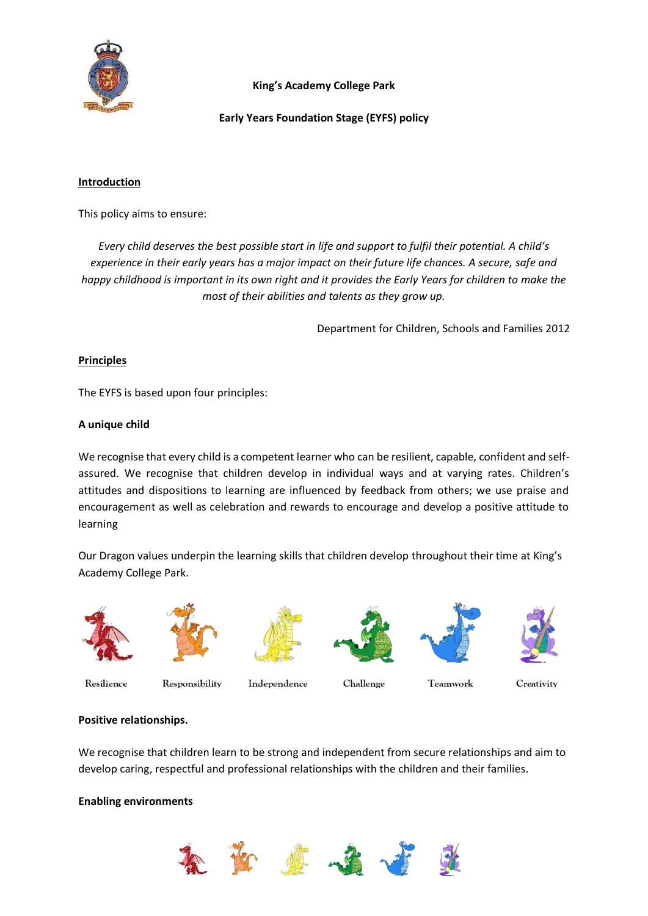

# **King's Academy College Park**

**Early Years Foundation Stage (EYFS) policy**

### **Introduction**

This policy aims to ensure:

*Every child deserves the best possible start in life and support to fulfil their potential. A child's experience in their early years has a major impact on their future life chances. A secure, safe and happy childhood is important in its own right and it provides the Early Years for children to make the most of their abilities and talents as they grow up.*

Department for Children, Schools and Families 2012

### **Principles**

The EYFS is based upon four principles:

### **A unique child**

We recognise that every child is a competent learner who can be resilient, capable, confident and selfassured. We recognise that children develop in individual ways and at varying rates. Children's attitudes and dispositions to learning are influenced by feedback from others; we use praise and encouragement as well as celebration and rewards to encourage and develop a positive attitude to learning

Our Dragon values underpin the learning skills that children develop throughout their time at King's Academy College Park.













Resilience

Responsibility

Independence



Teamwork

Creativity

#### **Positive relationships.**

We recognise that children learn to be strong and independent from secure relationships and aim to develop caring, respectful and professional relationships with the children and their families.

#### **Enabling environments**

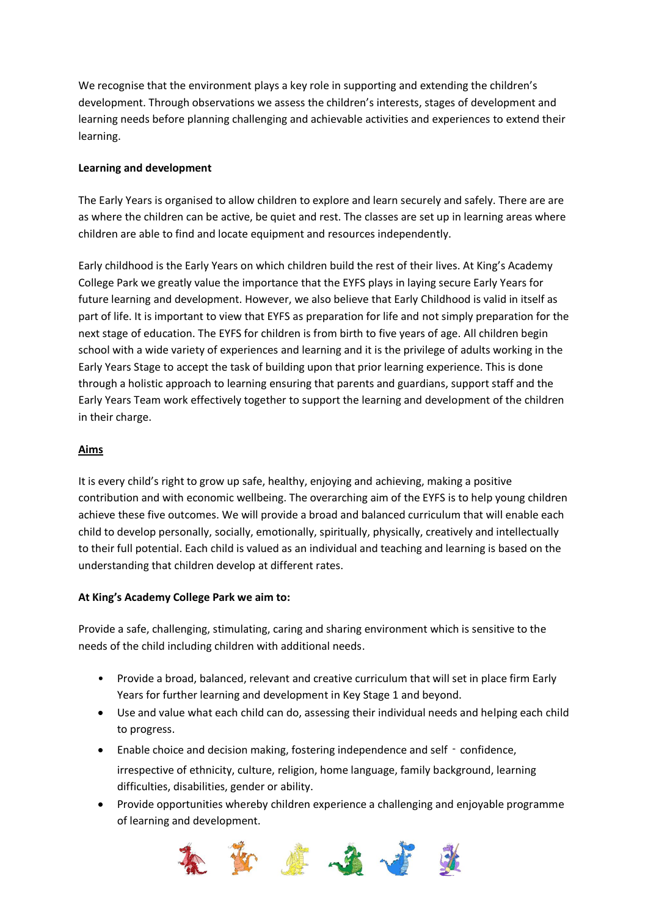We recognise that the environment plays a key role in supporting and extending the children's development. Through observations we assess the children's interests, stages of development and learning needs before planning challenging and achievable activities and experiences to extend their learning.

# **Learning and development**

The Early Years is organised to allow children to explore and learn securely and safely. There are are as where the children can be active, be quiet and rest. The classes are set up in learning areas where children are able to find and locate equipment and resources independently.

Early childhood is the Early Years on which children build the rest of their lives. At King's Academy College Park we greatly value the importance that the EYFS plays in laying secure Early Years for future learning and development. However, we also believe that Early Childhood is valid in itself as part of life. It is important to view that EYFS as preparation for life and not simply preparation for the next stage of education. The EYFS for children is from birth to five years of age. All children begin school with a wide variety of experiences and learning and it is the privilege of adults working in the Early Years Stage to accept the task of building upon that prior learning experience. This is done through a holistic approach to learning ensuring that parents and guardians, support staff and the Early Years Team work effectively together to support the learning and development of the children in their charge.

### **Aims**

It is every child's right to grow up safe, healthy, enjoying and achieving, making a positive contribution and with economic wellbeing. The overarching aim of the EYFS is to help young children achieve these five outcomes. We will provide a broad and balanced curriculum that will enable each child to develop personally, socially, emotionally, spiritually, physically, creatively and intellectually to their full potential. Each child is valued as an individual and teaching and learning is based on the understanding that children develop at different rates.

#### **At King's Academy College Park we aim to:**

Provide a safe, challenging, stimulating, caring and sharing environment which is sensitive to the needs of the child including children with additional needs.

- Provide a broad, balanced, relevant and creative curriculum that will set in place firm Early Years for further learning and development in Key Stage 1 and beyond.
- Use and value what each child can do, assessing their individual needs and helping each child to progress.
- Enable choice and decision making, fostering independence and self  $-$  confidence, irrespective of ethnicity, culture, religion, home language, family background, learning difficulties, disabilities, gender or ability.
- Provide opportunities whereby children experience a challenging and enjoyable programme of learning and development.

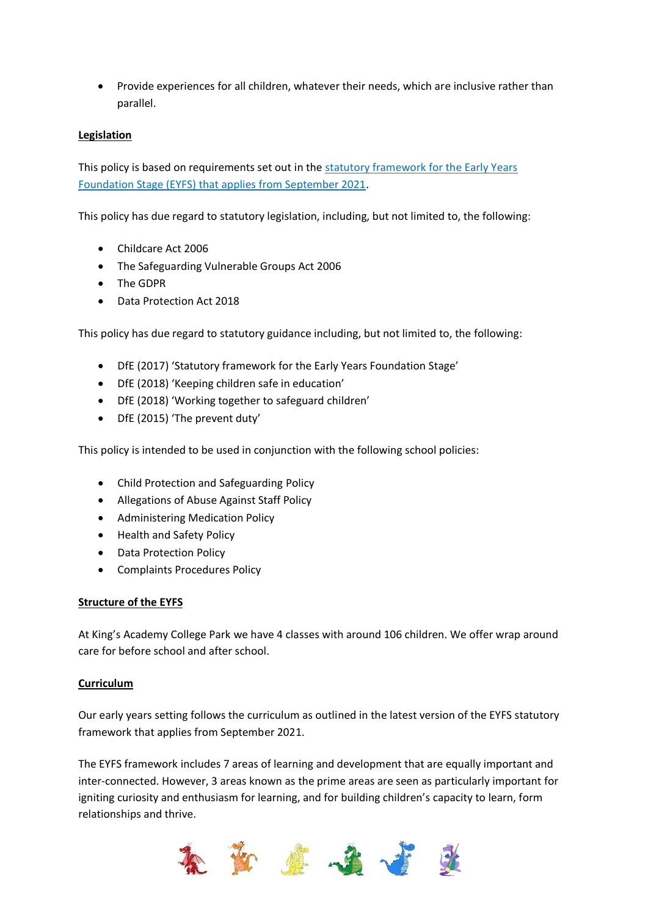Provide experiences for all children, whatever their needs, which are inclusive rather than parallel.

### **Legislation**

This policy is based on requirements set out in the [statutory framework for the Early Years](https://www.gov.uk/government/publications/early-years-foundation-stage-framework--2/)  [Foundation Stage \(EYFS\) that applies from September 2021.](https://www.gov.uk/government/publications/early-years-foundation-stage-framework--2/)

This policy has due regard to statutory legislation, including, but not limited to, the following:

- Childcare Act 2006
- The Safeguarding Vulnerable Groups Act 2006
- The GDPR
- Data Protection Act 2018

This policy has due regard to statutory guidance including, but not limited to, the following:

- DfE (2017) 'Statutory framework for the Early Years Foundation Stage'
- DfE (2018) 'Keeping children safe in education'
- DfE (2018) 'Working together to safeguard children'
- DfE (2015) 'The prevent duty'

This policy is intended to be used in conjunction with the following school policies:

- Child Protection and Safeguarding Policy
- Allegations of Abuse Against Staff Policy
- Administering Medication Policy
- Health and Safety Policy
- Data Protection Policy
- Complaints Procedures Policy

#### **Structure of the EYFS**

At King's Academy College Park we have 4 classes with around 106 children. We offer wrap around care for before school and after school.

#### **Curriculum**

Our early years setting follows the curriculum as outlined in the latest version of the EYFS statutory framework that applies from September 2021.

The EYFS framework includes 7 areas of learning and development that are equally important and inter-connected. However, 3 areas known as the prime areas are seen as particularly important for igniting curiosity and enthusiasm for learning, and for building children's capacity to learn, form relationships and thrive.

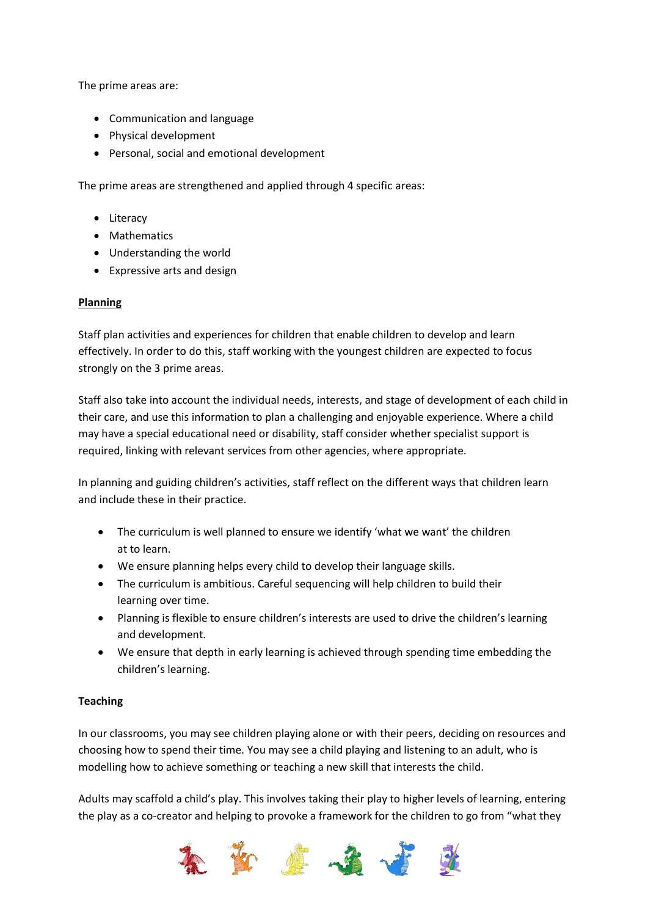The prime areas are:

- Communication and language
- Physical development
- Personal, social and emotional development

The prime areas are strengthened and applied through 4 specific areas:

- Literacy
- Mathematics
- Understanding the world
- Expressive arts and design

# **Planning**

Staff plan activities and experiences for children that enable children to develop and learn effectively. In order to do this, staff working with the youngest children are expected to focus strongly on the 3 prime areas.

Staff also take into account the individual needs, interests, and stage of development of each child in their care, and use this information to plan a challenging and enjoyable experience. Where a child may have a special educational need or disability, staff consider whether specialist support is required, linking with relevant services from other agencies, where appropriate.

In planning and guiding children's activities, staff reflect on the different ways that children learn and include these in their practice.

- The curriculum is well planned to ensure we identify 'what we want' the children at to learn.
- We ensure planning helps every child to develop their language skills.
- The curriculum is ambitious. Careful sequencing will help children to build their learning over time.
- Planning is flexible to ensure children's interests are used to drive the children's learning and development.
- We ensure that depth in early learning is achieved through spending time embedding the children's learning.

# **Teaching**

In our classrooms, you may see children playing alone or with their peers, deciding on resources and choosing how to spend their time. You may see a child playing and listening to an adult, who is modelling how to achieve something or teaching a new skill that interests the child.

Adults may scaffold a child's play. This involves taking their play to higher levels of learning, entering the play as a co-creator and helping to provoke a framework for the children to go from "what they

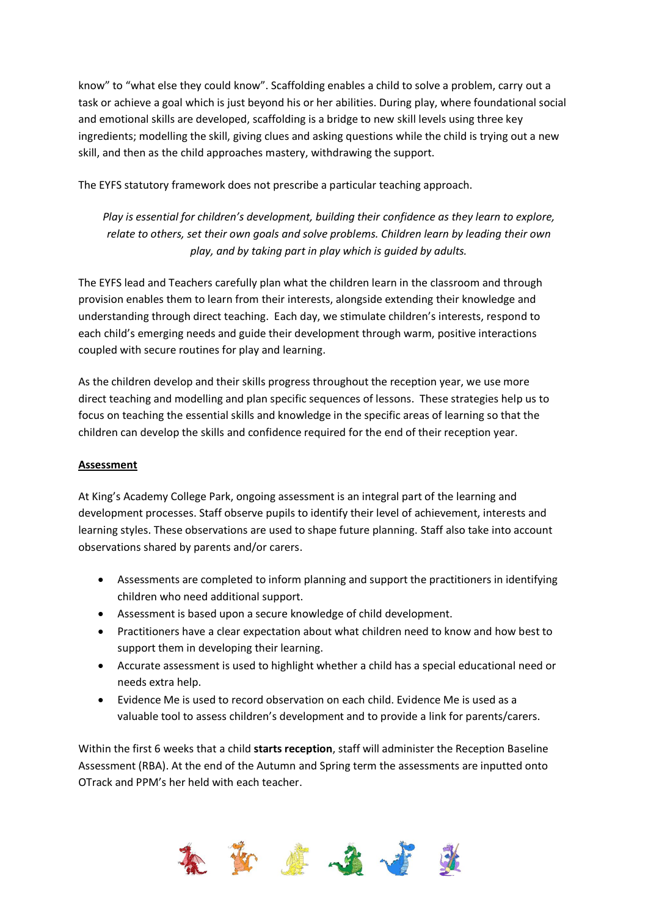know" to "what else they could know". Scaffolding enables a child to solve a problem, carry out a task or achieve a goal which is just beyond his or her abilities. During play, where foundational social and emotional skills are developed, scaffolding is a bridge to new skill levels using three key ingredients; modelling the skill, giving clues and asking questions while the child is trying out a new skill, and then as the child approaches mastery, withdrawing the support.

The EYFS statutory framework does not prescribe a particular teaching approach.

*Play is essential for children's development, building their confidence as they learn to explore, relate to others, set their own goals and solve problems. Children learn by leading their own play, and by taking part in play which is guided by adults.*

The EYFS lead and Teachers carefully plan what the children learn in the classroom and through provision enables them to learn from their interests, alongside extending their knowledge and understanding through direct teaching. Each day, we stimulate children's interests, respond to each child's emerging needs and guide their development through warm, positive interactions coupled with secure routines for play and learning.

As the children develop and their skills progress throughout the reception year, we use more direct teaching and modelling and plan specific sequences of lessons. These strategies help us to focus on teaching the essential skills and knowledge in the specific areas of learning so that the children can develop the skills and confidence required for the end of their reception year.

# **Assessment**

At King's Academy College Park, ongoing assessment is an integral part of the learning and development processes. Staff observe pupils to identify their level of achievement, interests and learning styles. These observations are used to shape future planning. Staff also take into account observations shared by parents and/or carers.

- Assessments are completed to inform planning and support the practitioners in identifying children who need additional support.
- Assessment is based upon a secure knowledge of child development.
- Practitioners have a clear expectation about what children need to know and how best to support them in developing their learning.
- Accurate assessment is used to highlight whether a child has a special educational need or needs extra help.
- Evidence Me is used to record observation on each child. Evidence Me is used as a valuable tool to assess children's development and to provide a link for parents/carers.

Within the first 6 weeks that a child **starts reception**, staff will administer the Reception Baseline Assessment (RBA). At the end of the Autumn and Spring term the assessments are inputted onto OTrack and PPM's her held with each teacher.